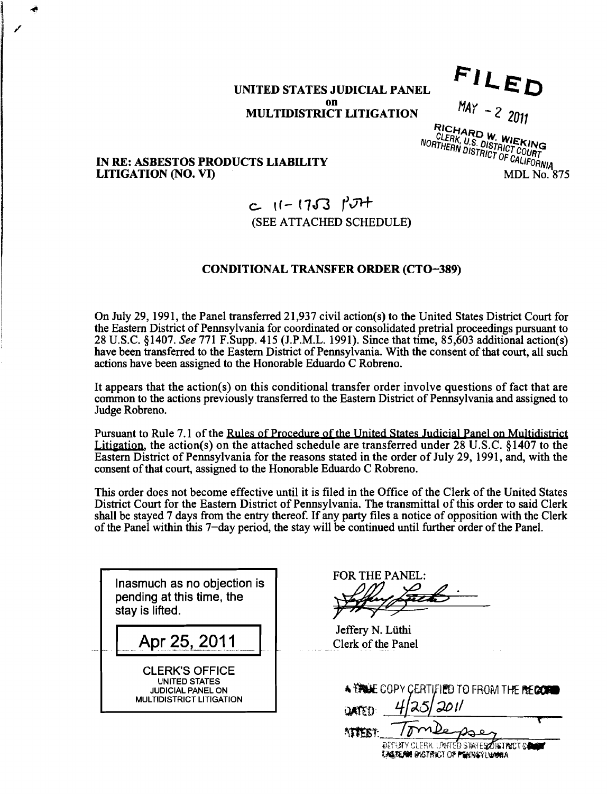# **UNITED STATES JUDICIAL PANEL on**

 $\mathcal{A}$ 

FILED

 $MAX - 22011$ 

**MULTIDISTRICT LITIGATION**<br>**RICHARD W. WIEKING**<br>MORTHERN DISTRICT COURT<br>MORTHERN DISTRICT OF CALIFORNIA

## **IN RE: ASBESTOS PRODUCTS LIABILITY LITIGATION (NO. VI) MDL No. 875**

# **c If- 17a** *r'd\**  (SEE ATTACHED SCHEDULE)

## **CONDITIONAL TRANSFER ORDER (CTO-389)**

On July 29, 1991, the Panel transferred 21,937 civil action(s) to the United States District Court for the Eastern District of Pennsylvania for coordinated or consolidated pretrial proceedings pursuant to 28 U.S.C. \$1407. See 771 F.Supp. 415 (J.P.M.L. 1991). Since that time, 85,603 additional action(s) have been transferred to the Eastern District of Pennsylvania. With the consent of that court, all such actions have been assigned to the Honorable Eduardo C Robreno.

It appears that the action(s) on this conditional transfer order involve questions of fact that are common to the actions previously transferred to the Eastern District of Pennsylvania and assigned to Judge Robreno.

Pursuant to Rule 7.1 of the Rules of Procedure of the United States Judicial Panel on Multidistrict Litigation, the action(s) on the attached schedule are transferred under  $28 \text{ U.S.C. }$   $81407$  to the Eastern District of Pennsylvania for the reasons stated in the order of July 29, 1991, and, with the consent of that court, assigned to the Honorable Eduardo C Robreno.

This order does not become effective until it is filed in the Office of the Clerk of the United States District Court for the Eastern District of Pennsylvania. The transmittal of this order to said Clerk shall be stayed 7 days from the entry thereof. If any party files a notice of opposition with the Clerk of the Panel within this 7-day period, the stay will be continued until further order of the Panel.

**Inasmuch as no objection is pending at this time, the stay is lifted.**  Apr 25, 2011 CLERK'S OFFICE **UNITED STATES JUDICIAL PANEL ON MULTIDISTRICT LITIGATION** 

FOR THE PANEL:

Jeffery N. Liithi Clerk of the Panel

| A VALUE COPY CERTIFIED TO FROM THE RECORD               |  |
|---------------------------------------------------------|--|
| 4 25 201                                                |  |
| <b>NTEET:</b> Tomberses                                 |  |
| <b>BEFURTY PLEDY LONEED CTATECATE TRAPT CALCULATION</b> |  |

CU ƏRAILƏ ZURƏHMILILDƏN **EAGREAN DIGTRICT OF PENNSYLVANIA**